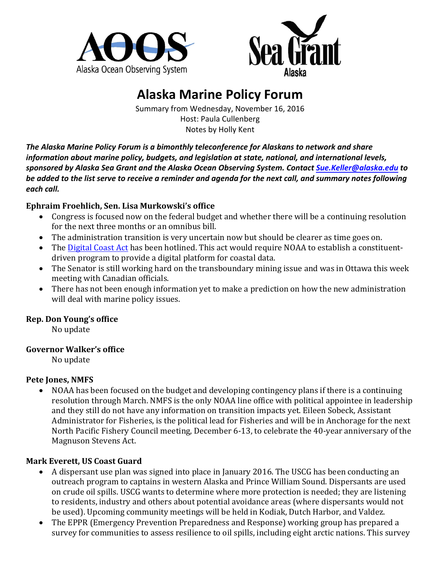



# **Alaska Marine Policy Forum**

Summary from Wednesday, November 16, 2016 Host: Paula Cullenberg Notes by Holly Kent

The Alaska Marine Policy Forum is a bimonthly teleconference for Alaskans to network and share *information about marine policy, budgets, and legislation at state, national, and international levels, sponsored by Alaska Sea Grant and the Alaska Ocean Observing System. Contact [Sue.Keller@alaska.edu](mailto:Sue.Keller@alaska.edu) to*  be added to the list serve to receive a reminder and agenda for the next call, and summary notes following each call.

## **Ephraim Froehlich, Sen. Lisa Murkowski's office**

- Congress is focused now on the federal budget and whether there will be a continuing resolution for the next three months or an omnibus bill.
- The administration transition is very uncertain now but should be clearer as time goes on.
- The Digital Coast Act has been hotlined. This act would require NOAA to establish a constituentdriven program to provide a digital platform for coastal data.
- The Senator is still working hard on the transboundary mining issue and was in Ottawa this week meeting with Canadian officials.
- There has not been enough information yet to make a prediction on how the new administration will deal with marine policy issues.

# **Rep. Don Young's office**

No update

#### **Governor Walker's office**

No update

#### **Pete Jones, NMFS**

• NOAA has been focused on the budget and developing contingency plans if there is a continuing resolution through March. NMFS is the only NOAA line office with political appointee in leadership and they still do not have any information on transition impacts yet. Eileen Sobeck, Assistant Administrator for Fisheries, is the political lead for Fisheries and will be in Anchorage for the next North Pacific Fishery Council meeting, December 6-13, to celebrate the 40-year anniversary of the Magnuson Stevens Act.

# **Mark Everett, US Coast Guard**

- A dispersant use plan was signed into place in January 2016. The USCG has been conducting an outreach program to captains in western Alaska and Prince William Sound. Dispersants are used on crude oil spills. USCG wants to determine where more protection is needed; they are listening to residents, industry and others about potential avoidance areas (where dispersants would not be used). Upcoming community meetings will be held in Kodiak, Dutch Harbor, and Valdez.
- The EPPR (Emergency Prevention Preparedness and Response) working group has prepared a survey for communities to assess resilience to oil spills, including eight arctic nations. This survey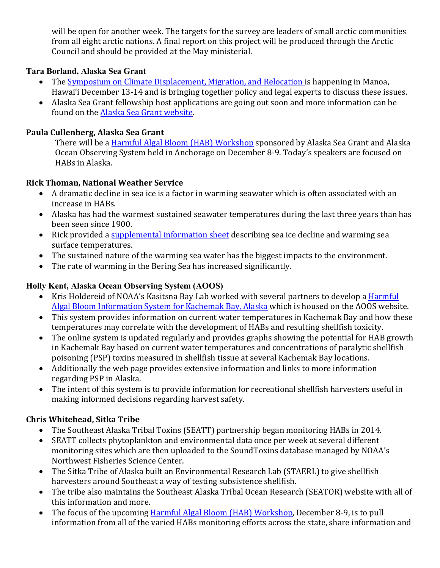will be open for another week. The targets for the survey are leaders of small arctic communities from all eight arctic nations. A final report on this project will be produced through the Arctic Council and should be provided at the May ministerial.

## **Tara Borland, Alaska Sea Grant**

- The Symposium on Climate Displacement, Migration, and Relocation is happening in Manoa, Hawai'i December 13-14 and is bringing together policy and legal experts to discuss these issues.
- Alaska Sea Grant fellowship host applications are going out soon and more information can be found on the Alaska Sea Grant website.

## **Paula Cullenberg, Alaska Sea Grant**

There will be a Harmful Algal Bloom (HAB) Workshop sponsored by Alaska Sea Grant and Alaska Ocean Observing System held in Anchorage on December 8-9. Today's speakers are focused on HABs in Alaska.

## **Rick Thoman, National Weather Service**

- A dramatic decline in sea ice is a factor in warming seawater which is often associated with an increase in HABs.
- Alaska has had the warmest sustained seawater temperatures during the last three years than has been seen since 1900.
- Rick provided a supplemental information sheet describing sea ice decline and warming sea surface temperatures.
- The sustained nature of the warming sea water has the biggest impacts to the environment.
- $\bullet$  The rate of warming in the Bering Sea has increased significantly.

## **Holly Kent, Alaska Ocean Observing System (AOOS)**

- Kris Holdereid of NOAA's Kasitsna Bay Lab worked with several partners to develop a Harmful Algal Bloom Information System for Kachemak Bay, Alaska which is housed on the AOOS website.
- This system provides information on current water temperatures in Kachemak Bay and how these temperatures may correlate with the development of HABs and resulting shellfish toxicity.
- The online system is updated regularly and provides graphs showing the potential for HAB growth in Kachemak Bay based on current water temperatures and concentrations of paralytic shellfish poisoning (PSP) toxins measured in shellfish tissue at several Kachemak Bay locations.
- Additionally the web page provides extensive information and links to more information regarding PSP in Alaska.
- The intent of this system is to provide information for recreational shellfish harvesters useful in making informed decisions regarding harvest safety.

# **Chris Whitehead, Sitka Tribe**

- The Southeast Alaska Tribal Toxins (SEATT) partnership began monitoring HABs in 2014.
- SEATT collects phytoplankton and environmental data once per week at several different monitoring sites which are then uploaded to the SoundToxins database managed by NOAA's Northwest Fisheries Science Center.
- The Sitka Tribe of Alaska built an Environmental Research Lab (STAERL) to give shellfish harvesters around Southeast a way of testing subsistence shellfish.
- The tribe also maintains the Southeast Alaska Tribal Ocean Research (SEATOR) website with all of this information and more.
- The focus of the upcoming Harmful Algal Bloom (HAB) Workshop, December 8-9, is to pull information from all of the varied HABs monitoring efforts across the state, share information and